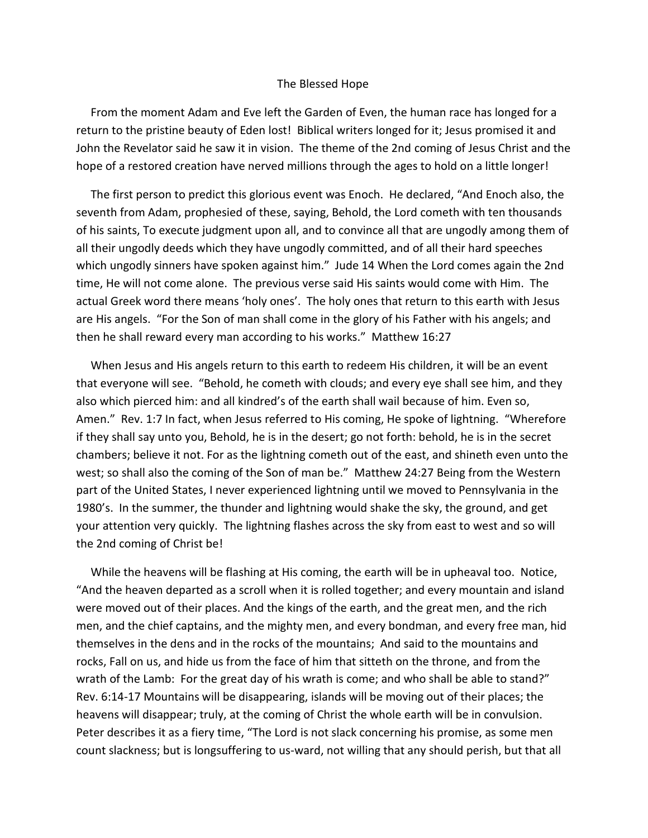## The Blessed Hope

 From the moment Adam and Eve left the Garden of Even, the human race has longed for a return to the pristine beauty of Eden lost! Biblical writers longed for it; Jesus promised it and John the Revelator said he saw it in vision. The theme of the 2nd coming of Jesus Christ and the hope of a restored creation have nerved millions through the ages to hold on a little longer!

 The first person to predict this glorious event was Enoch. He declared, "And Enoch also, the seventh from Adam, prophesied of these, saying, Behold, the Lord cometh with ten thousands of his saints, To execute judgment upon all, and to convince all that are ungodly among them of all their ungodly deeds which they have ungodly committed, and of all their hard speeches which ungodly sinners have spoken against him." Jude 14 When the Lord comes again the 2nd time, He will not come alone. The previous verse said His saints would come with Him. The actual Greek word there means 'holy ones'. The holy ones that return to this earth with Jesus are His angels. "For the Son of man shall come in the glory of his Father with his angels; and then he shall reward every man according to his works." Matthew 16:27

 When Jesus and His angels return to this earth to redeem His children, it will be an event that everyone will see. "Behold, he cometh with clouds; and every eye shall see him, and they also which pierced him: and all kindred's of the earth shall wail because of him. Even so, Amen." Rev. 1:7 In fact, when Jesus referred to His coming, He spoke of lightning. "Wherefore if they shall say unto you, Behold, he is in the desert; go not forth: behold, he is in the secret chambers; believe it not. For as the lightning cometh out of the east, and shineth even unto the west; so shall also the coming of the Son of man be." Matthew 24:27 Being from the Western part of the United States, I never experienced lightning until we moved to Pennsylvania in the 1980's. In the summer, the thunder and lightning would shake the sky, the ground, and get your attention very quickly. The lightning flashes across the sky from east to west and so will the 2nd coming of Christ be!

 While the heavens will be flashing at His coming, the earth will be in upheaval too. Notice, "And the heaven departed as a scroll when it is rolled together; and every mountain and island were moved out of their places. And the kings of the earth, and the great men, and the rich men, and the chief captains, and the mighty men, and every bondman, and every free man, hid themselves in the dens and in the rocks of the mountains; And said to the mountains and rocks, Fall on us, and hide us from the face of him that sitteth on the throne, and from the wrath of the Lamb: For the great day of his wrath is come; and who shall be able to stand?" Rev. 6:14-17 Mountains will be disappearing, islands will be moving out of their places; the heavens will disappear; truly, at the coming of Christ the whole earth will be in convulsion. Peter describes it as a fiery time, "The Lord is not slack concerning his promise, as some men count slackness; but is longsuffering to us-ward, not willing that any should perish, but that all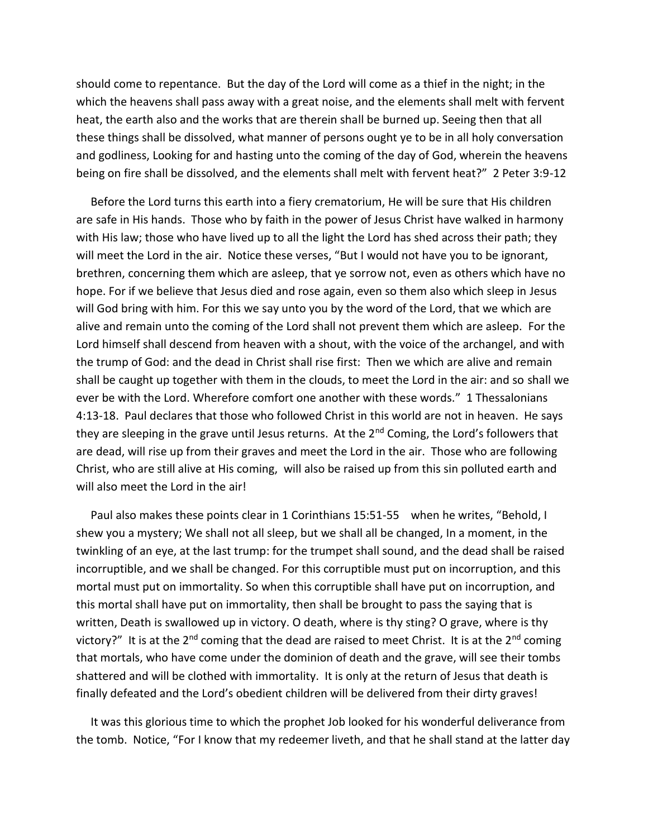should come to repentance. But the day of the Lord will come as a thief in the night; in the which the heavens shall pass away with a great noise, and the elements shall melt with fervent heat, the earth also and the works that are therein shall be burned up. Seeing then that all these things shall be dissolved, what manner of persons ought ye to be in all holy conversation and godliness, Looking for and hasting unto the coming of the day of God, wherein the heavens being on fire shall be dissolved, and the elements shall melt with fervent heat?" 2 Peter 3:9-12

 Before the Lord turns this earth into a fiery crematorium, He will be sure that His children are safe in His hands. Those who by faith in the power of Jesus Christ have walked in harmony with His law; those who have lived up to all the light the Lord has shed across their path; they will meet the Lord in the air. Notice these verses, "But I would not have you to be ignorant, brethren, concerning them which are asleep, that ye sorrow not, even as others which have no hope. For if we believe that Jesus died and rose again, even so them also which sleep in Jesus will God bring with him. For this we say unto you by the word of the Lord, that we which are alive and remain unto the coming of the Lord shall not prevent them which are asleep. For the Lord himself shall descend from heaven with a shout, with the voice of the archangel, and with the trump of God: and the dead in Christ shall rise first: Then we which are alive and remain shall be caught up together with them in the clouds, to meet the Lord in the air: and so shall we ever be with the Lord. Wherefore comfort one another with these words." 1 Thessalonians 4:13-18. Paul declares that those who followed Christ in this world are not in heaven. He says they are sleeping in the grave until Jesus returns. At the 2<sup>nd</sup> Coming, the Lord's followers that are dead, will rise up from their graves and meet the Lord in the air. Those who are following Christ, who are still alive at His coming, will also be raised up from this sin polluted earth and will also meet the Lord in the air!

 Paul also makes these points clear in 1 Corinthians 15:51-55 when he writes, "Behold, I shew you a mystery; We shall not all sleep, but we shall all be changed, In a moment, in the twinkling of an eye, at the last trump: for the trumpet shall sound, and the dead shall be raised incorruptible, and we shall be changed. For this corruptible must put on incorruption, and this mortal must put on immortality. So when this corruptible shall have put on incorruption, and this mortal shall have put on immortality, then shall be brought to pass the saying that is written, Death is swallowed up in victory. O death, where is thy sting? O grave, where is thy victory?" It is at the 2<sup>nd</sup> coming that the dead are raised to meet Christ. It is at the 2<sup>nd</sup> coming that mortals, who have come under the dominion of death and the grave, will see their tombs shattered and will be clothed with immortality. It is only at the return of Jesus that death is finally defeated and the Lord's obedient children will be delivered from their dirty graves!

 It was this glorious time to which the prophet Job looked for his wonderful deliverance from the tomb. Notice, "For I know that my redeemer liveth, and that he shall stand at the latter day